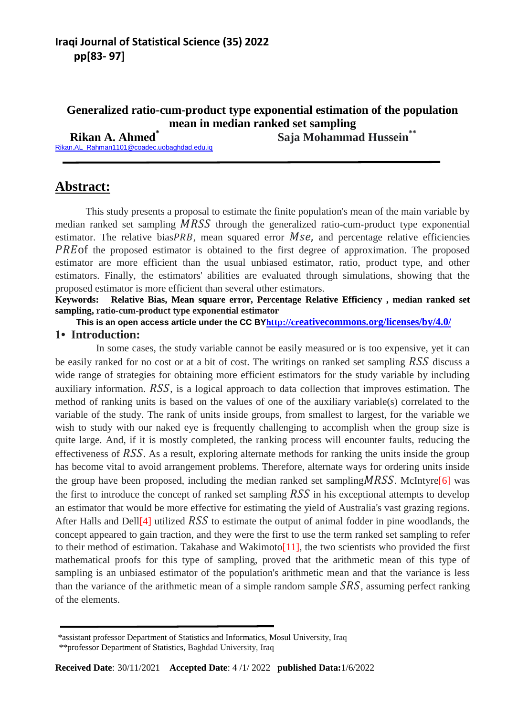### **Generalized ratio-cum-product type exponential estimation of the population mean in median ranked set sampling**

 **Rikan A. Ahmed\* Saja Mohammad Hussein\*\***

[Rikan.AL\\_Rahman1101@coadec.uobaghdad.edu.iq](mailto:Rikan.AL_Rahman1101@coadec.uobaghdad.edu.iq)

# **Abstract:**

 This study presents a proposal to estimate the finite population's mean of the main variable by median ranked set sampling  $MRSS$  through the generalized ratio-cum-product type exponential estimator. The relative bias  $PRB$ , mean squared error  $MSe$ , and percentage relative efficiencies  $PREDf$  the proposed estimator is obtained to the first degree of approximation. The proposed estimator are more efficient than the usual unbiased estimator, ratio, product type, and other estimators. Finally, the estimators' abilities are evaluated through simulations, showing that the proposed estimator is more efficient than several other estimators.

**Keywords: Relative Bias, Mean square error, Percentage Relative Efficiency , median ranked set sampling, ratio-cum-product type exponential estimator**

**This is an open access article under the CC BY[h](http://creativecommons.org/licenses/by/4.0/)ttp://cr[eativecommons.org/licenses/by/4.0/](http://creativecommons.org/licenses/by/4.0/) 1• Introduction:**

 In some cases, the study variable cannot be easily measured or is too expensive, yet it can be easily ranked for no cost or at a bit of cost. The writings on ranked set sampling  $RSS$  discuss a wide range of strategies for obtaining more efficient estimators for the study variable by including auxiliary information.  $RSS$ , is a logical approach to data collection that improves estimation. The method of ranking units is based on the values of one of the auxiliary variable(s) correlated to the variable of the study. The rank of units inside groups, from smallest to largest, for the variable we wish to study with our naked eye is frequently challenging to accomplish when the group size is quite large. And, if it is mostly completed, the ranking process will encounter faults, reducing the effectiveness of  $RSS$ . As a result, exploring alternate methods for ranking the units inside the group has become vital to avoid arrangement problems. Therefore, alternate ways for ordering units inside the group have been proposed, including the median ranked set sampling  $MRSS$ . McIntyre [6] was the first to introduce the concept of ranked set sampling  $RSS$  in his exceptional attempts to develop an estimator that would be more effective for estimating the yield of Australia's vast grazing regions. After Halls and Dell<sup>[4]</sup> utilized  $RSS$  to estimate the output of animal fodder in pine woodlands, the concept appeared to gain traction, and they were the first to use the term ranked set sampling to refer to their method of estimation. Takahase and Wakimoto<sup>[11]</sup>, the two scientists who provided the first mathematical proofs for this type of sampling, proved that the arithmetic mean of this type of sampling is an unbiased estimator of the population's arithmetic mean and that the variance is less than the variance of the arithmetic mean of a simple random sample  $SRS$ , assuming perfect ranking of the elements.

<sup>\*</sup>assistant professor Department of Statistics and Informatics, Mosul University, Iraq

\*\*professor Department of Statistics, Baghdad University, Iraq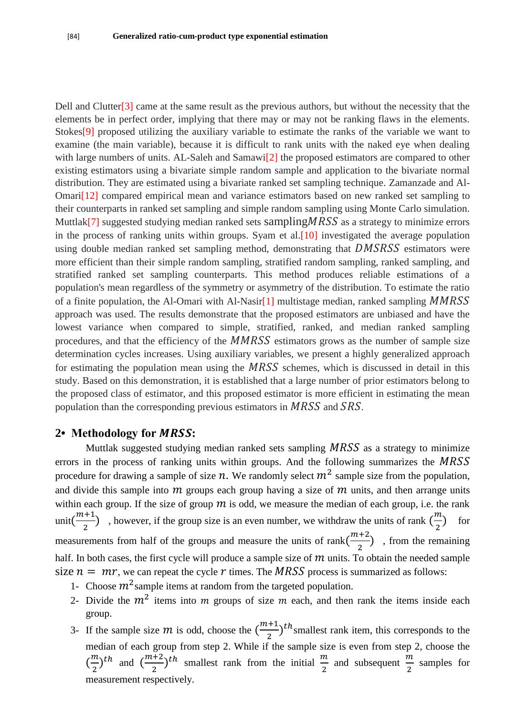Dell and Clutter[3] came at the same result as the previous authors, but without the necessity that the elements be in perfect order, implying that there may or may not be ranking flaws in the elements. Stokes[9] proposed utilizing the auxiliary variable to estimate the ranks of the variable we want to examine (the main variable), because it is difficult to rank units with the naked eye when dealing with large numbers of units. AL-Saleh and Samawi<sup>[2]</sup> the proposed estimators are compared to other existing estimators using a bivariate simple random sample and application to the bivariate normal distribution. They are estimated using a bivariate ranked set sampling technique. Zamanzade and Al-Omari[12] compared empirical mean and variance estimators based on new ranked set sampling to their counterparts in ranked set sampling and simple random sampling using Monte Carlo simulation. Muttlak<sup>[7]</sup> suggested studying median ranked sets sampling  $MRSS$  as a strategy to minimize errors in the process of ranking units within groups. Syam et al.[10] investigated the average population using double median ranked set sampling method, demonstrating that  $DMSSS$  estimators were more efficient than their simple random sampling, stratified random sampling, ranked sampling, and stratified ranked set sampling counterparts. This method produces reliable estimations of a population's mean regardless of the symmetry or asymmetry of the distribution. To estimate the ratio of a finite population, the Al-Omari with Al-Nasir $[1]$  multistage median, ranked sampling MMRSS approach was used. The results demonstrate that the proposed estimators are unbiased and have the lowest variance when compared to simple, stratified, ranked, and median ranked sampling procedures, and that the efficiency of the  $MMRSS$  estimators grows as the number of sample size determination cycles increases. Using auxiliary variables, we present a highly generalized approach for estimating the population mean using the  $MRSS$  schemes, which is discussed in detail in this study. Based on this demonstration, it is established that a large number of prior estimators belong to the proposed class of estimator, and this proposed estimator is more efficient in estimating the mean population than the corresponding previous estimators in  $MRSS$  and  $SRS$ .

#### 2• Methodology for *MRSS*:

Muttlak suggested studying median ranked sets sampling  $MRSS$  as a strategy to minimize errors in the process of ranking units within groups. And the following summarizes the MRSS procedure for drawing a sample of size n. We randomly select  $m^2$  sample size from the population, and divide this sample into  $m$  groups each group having a size of  $m$  units, and then arrange units within each group. If the size of group  $m$  is odd, we measure the median of each group, i.e. the rank unit $\left(\frac{m}{2}\right)$  $\frac{m+1}{2}$ , however, if the group size is an even number, we withdraw the units of rank  $\left(\frac{m}{2}\right)$  $\overline{\mathbf{c}}$  for measurements from half of the groups and measure the units of rank $\binom{m}{k}$  $\frac{x+2}{2}$ , from the remaining half. In both cases, the first cycle will produce a sample size of  $m$  units. To obtain the needed sample size  $n = mr$ , we can repeat the cycle r times. The MRSS process is summarized as follows:

- 1- Choose  $m<sup>2</sup>$  sample items at random from the targeted population.
- 2- Divide the  $m<sup>2</sup>$  items into m groups of size m each, and then rank the items inside each group.
- 3- If the sample size  $m$  is odd, choose the  $\left(\frac{m}{m}\right)$  $\frac{(n+1)}{2}$ <sup>th</sup> smallest rank item, this corresponds to the median of each group from step 2. While if the sample size is even from step 2, choose the  $\left(\frac{m}{2}\right)$  $\left(\frac{m}{2}\right)^{th}$  and  $\left(\frac{m}{2}\right)^{th}$  $\frac{n+2}{2}$  th smallest rank from the initial  $\frac{m}{2}$  $\frac{m}{2}$  and subsequent  $\frac{m}{2}$  $\frac{\pi}{2}$  samples for measurement respectively.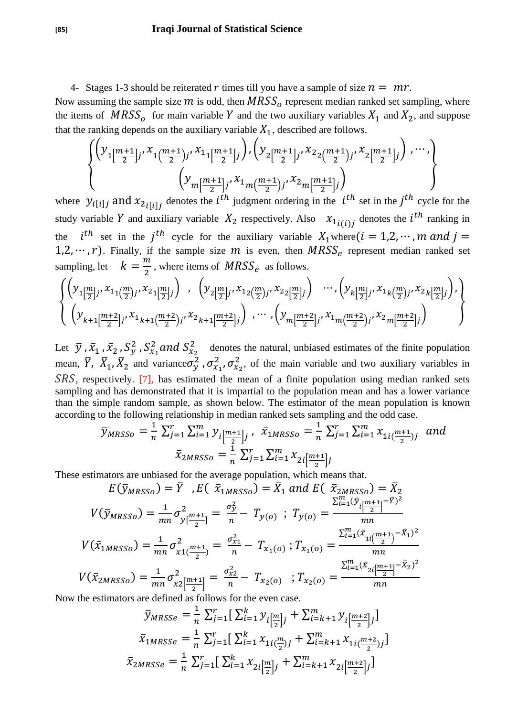4- Stages 1-3 should be reiterated r times till you have a sample of size  $n = mr$ .

Now assuming the sample size  $m$  is odd, then  $MRSS_0$  represent median ranked set sampling, where the items of  $MRSS_0$  for main variable Y and the two auxiliary variables  $X_1$  and  $X_2$ , and suppose that the ranking depends on the auxiliary variable  $X_1$ , described are follows.

$$
\left\{\n\begin{pmatrix}\n\mathcal{Y}_{1\left[\frac{m+1}{2}\right]j'}\mathcal{X}_{1\left(\frac{m+1}{2}\right)j'}\mathcal{X}_{1\left[\frac{m+1}{2}\right]j}\n\end{pmatrix},\n\begin{pmatrix}\n\mathcal{Y}_{2\left[\frac{m+1}{2}\right]j'}\mathcal{X}_{2\left(\frac{m+1}{2}\right)j'}\mathcal{X}_{2\left[\frac{m+1}{2}\right]j}\n\end{pmatrix},\n\cdots,\n\left(\n\mathcal{Y}_{m\left[\frac{m+1}{2}\right]j'}\mathcal{X}_{1m\left(\frac{m+1}{2}\right)j'}\mathcal{X}_{2m\left[\frac{m+1}{2}\right]j}\n\right)\n\right\}
$$

where  $y_{i[i]j}$  and  $x_{2i[i]j}$  denotes the  $i^{th}$  judgment ordering in the  $i^{th}$  set in the  $j^{th}$  cycle for the study variable Y and auxiliary variable  $X_2$  respectively. Also  $x_{1}(i)$  denotes the  $i^{th}$  ranking in the th set in the  $j<sup>th</sup>$  cycle for the auxiliary variable  $X_1$  where 1,2,  $\cdots$ , r). Finally, if the sample size m is even, then  $MRSS_e$  represent median ranked set sampling, let  $k = \frac{m}{2}$  $\frac{\pi}{2}$ , where items of  $MRSS_e$  as follows.

$$
\begin{cases}\n\left(y_{1\left[\frac{m}{2}\right]j}, x_{1\left(\frac{m}{2}\right)j}, x_{2\left(\frac{m}{2}\right]j}\right) , \quad \left(y_{2\left[\frac{m}{2}\right]j}, x_{1\left(\frac{m}{2}\right)j}, x_{2\left(\frac{m}{2}\right]j}\right) \cdots, \left(y_{k\left[\frac{m}{2}\right]j}, x_{1\left(\frac{m}{2}\right)j}, x_{2\left(\frac{m}{2}\right)j}\right), \\
\left(y_{k+1\left[\frac{m+2}{2}\right]j}, x_{1_{k+1}\left(\frac{m+2}{2}\right)j}, x_{2_{k+1}\left[\frac{m+2}{2}\right]j}\right) \cdots, \left(y_{m\left[\frac{m+2}{2}\right]j}, x_{1\left(\frac{m+2}{2}\right)j}, x_{2\left(\frac{m+2}{2}\right)j}\right)\n\end{cases}
$$

Let  $\bar{y}$ ,  $\bar{x}_1$ ,  $\bar{x}_2$ ,  $S_y^2$ ,  $S_{x_1}^2$  and  $S_{x_2}^2$  denotes the natural, unbiased estimates of the finite population mean,  $\bar{Y}$ ,  $\bar{X}_1$ ,  $\bar{X}_2$  and variance  $\sigma_y^2$ ,  $\sigma_{x_1}^2$ ,  $\sigma_{x_2}^2$ , of the main variable and two auxiliary variables in SRS, respectively. [7], has estimated the mean of a finite population using median ranked sets sampling and has demonstrated that it is impartial to the population mean and has a lower variance than the simple random sample, as shown below. The estimator of the mean population is known according to the following relationship in median ranked sets sampling and the odd case.

$$
\bar{y}_{MRSSo} = \frac{1}{n} \sum_{j=1}^{r} \sum_{i=1}^{m} y_{i \left[\frac{m+1}{2}\right]j}, \quad \bar{x}_{1MRSSo} = \frac{1}{n} \sum_{j=1}^{r} \sum_{i=1}^{m} x_{1i \left(\frac{m+1}{2}\right)j} \quad and
$$

$$
\bar{x}_{2MRSSo} = \frac{1}{n} \sum_{j=1}^{r} \sum_{i=1}^{m} x_{2i \left[\frac{m+1}{2}\right]j}
$$

These estimators are unbiased for the average population, which means that.

$$
E(\bar{y}_{MRSSO}) = \bar{Y} \quad , E(\bar{x}_{1MRSSO}) = \bar{X}_1 \text{ and } E(\bar{x}_{2MRSSO}) = \bar{X}_2
$$
\n
$$
V(\bar{y}_{MRSSO}) = \frac{1}{mn} \sigma_{y[\frac{m+1}{2}]}^2 = \frac{\sigma_y^2}{n} - T_{y(o)} \quad ; \quad T_{y(o)} = \frac{\sum_{i=1}^{m} (\bar{y}_{i[\frac{m+1}{2}]} - \bar{Y})^2}{mn}
$$
\n
$$
V(\bar{x}_{1MRSSO}) = \frac{1}{mn} \sigma_{x1(\frac{m+1}{2})}^2 = \frac{\sigma_{x1}^2}{n} - T_{x_1(o)} \quad ; \quad T_{x_1(o)} = \frac{\sum_{i=1}^{m} (\bar{x}_{1(i\frac{m+1}{2})} - \bar{x}_1)^2}{mn}
$$
\n
$$
V(\bar{x}_{2MRSSO}) = \frac{1}{mn} \sigma_{x2[\frac{m+1}{2}]}^2 = \frac{\sigma_{x2}^2}{n} - T_{x_2(o)} \quad ; \quad T_{x_2(o)} = \frac{\sum_{i=1}^{m} (\bar{x}_{2i[\frac{m+1}{2}]} - \bar{x}_2)^2}{mn}
$$

Now the estimators are defined as follows for the even case.

$$
\bar{y}_{MRSse} = \frac{1}{n} \sum_{j=1}^{r} \left[ \sum_{i=1}^{k} y_{i \left[ \frac{m}{2} \right] j} + \sum_{i=k+1}^{m} y_{i \left[ \frac{m+2}{2} \right] j} \right]
$$

$$
\bar{x}_{1MRSse} = \frac{1}{n} \sum_{j=1}^{r} \left[ \sum_{i=1}^{k} x_{1i \left( \frac{m}{2} \right) j} + \sum_{i=k+1}^{m} x_{1i \left( \frac{m+2}{2} \right) j} \right]
$$

$$
\bar{x}_{2MRSse} = \frac{1}{n} \sum_{j=1}^{r} \left[ \sum_{i=1}^{k} x_{2i \left[ \frac{m}{2} \right] j} + \sum_{i=k+1}^{m} x_{2i \left[ \frac{m+2}{2} \right] j} \right]
$$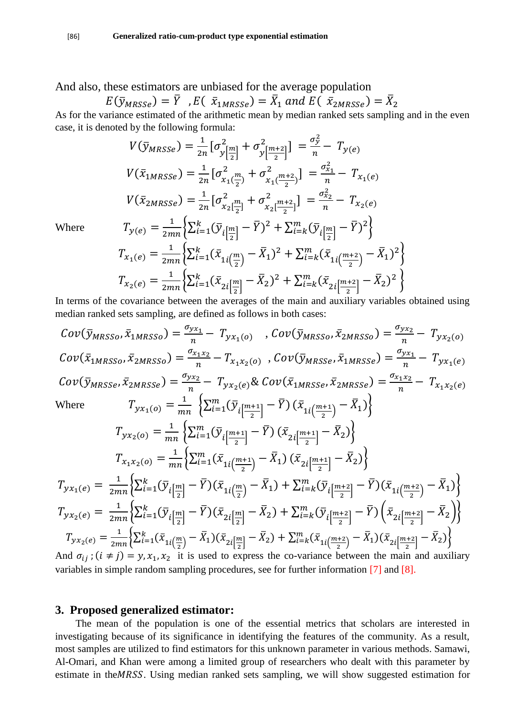And also, these estimators are unbiased for the average population

 $E(\bar{y}_{MRSSe})=\bar{Y}$  ,  $E(\bar{x}_{1MRSSe})=\bar{X}_1$  and  $E(\bar{x}_{2MRSSe})=\bar{X}_2$ 

As for the variance estimated of the arithmetic mean by median ranked sets sampling and in the even case, it is denoted by the following formula:

$$
V(\bar{y}_{MRSse}) = \frac{1}{2n} \left[ \sigma_{y\left[\frac{m}{2}\right]}^{2} + \sigma_{y\left[\frac{m+2}{2}\right]}^{2} \right] = \frac{\sigma_{y}^{2}}{n} - T_{y(e)}
$$
\n
$$
V(\bar{x}_{1MRSse}) = \frac{1}{2n} \left[ \sigma_{x_{1}\left(\frac{m}{2}\right)}^{2} + \sigma_{x_{1}\left(\frac{m+2}{2}\right)}^{2} \right] = \frac{\sigma_{x_{1}}^{2}}{n} - T_{x_{1}(e)}
$$
\n
$$
V(\bar{x}_{2MRSse}) = \frac{1}{2n} \left[ \sigma_{x_{2}\left[\frac{m}{2}\right]}^{2} + \sigma_{x_{2}\left[\frac{m+2}{2}\right]}^{2} \right] = \frac{\sigma_{x_{2}}^{2}}{n} - T_{x_{2}(e)}
$$
\n
$$
T_{y(e)} = \frac{1}{2mn} \left\{ \sum_{i=1}^{k} (\bar{y}_{i\left[\frac{m}{2}\right]} - \bar{Y})^{2} + \sum_{i=k}^{m} (\bar{y}_{i\left[\frac{m}{2}\right]} - \bar{Y})^{2} \right\}
$$
\n
$$
T_{x_{1}(e)} = \frac{1}{2mn} \left\{ \sum_{i=1}^{k} (\bar{x}_{1i\left(\frac{m}{2}\right)} - \bar{X}_{1})^{2} + \sum_{i=k}^{m} (\bar{x}_{1i\left(\frac{m+2}{2}\right)} - \bar{X}_{1})^{2} \right\}
$$
\n
$$
T_{x_{2}(e)} = \frac{1}{2mn} \left\{ \sum_{i=1}^{k} (\bar{x}_{2i\left[\frac{m}{2}\right]} - \bar{X}_{2})^{2} + \sum_{i=k}^{m} (\bar{x}_{2i\left[\frac{m+2}{2}\right]} - \bar{X}_{2})^{2} \right\}
$$

Where

In terms of the covariance between the averages of the main and auxiliary variables obtained using median ranked sets sampling, are defined as follows in both cases:

$$
Cov(\bar{y}_{MRSSo}, \bar{x}_{1MRSSo}) = \frac{\sigma_{yx_1}}{n} - T_{yx_1(o)}, \quad Cov(\bar{y}_{MRSSo}, \bar{x}_{2MRSSo}) = \frac{\sigma_{yx_2}}{n} - T_{yx_2(o)}
$$
\n
$$
Cov(\bar{x}_{1MRSSo}, \bar{x}_{2MRSSo}) = \frac{\sigma_{x_1x_2}}{n} - T_{x_1x_2(o)}, \quad Cov(\bar{y}_{MRSSe}, \bar{x}_{1MRSSe}) = \frac{\sigma_{yx_1}}{n} - T_{yx_1(e)}
$$
\n
$$
Cov(\bar{y}_{MRSSe}, \bar{x}_{2MRSSe}) = \frac{\sigma_{yx_2}}{n} - T_{yx_2(e)} \& Cov(\bar{x}_{1MRSSe}, \bar{x}_{2MRSSe}) = \frac{\sigma_{x_1x_2}}{n} - T_{x_1x_2(e)}
$$
\n
$$
\text{Where } T_{yx_1(o)} = \frac{1}{mn} \left\{ \sum_{i=1}^{m} (\bar{y}_i \left[ \frac{m+1}{2} \right] - \bar{Y}) \left( \bar{x}_{1i} \left( \frac{m+1}{2} \right) - \bar{X}_1 \right) \right\}
$$
\n
$$
T_{yx_2(o)} = \frac{1}{mn} \left\{ \sum_{i=1}^{m} (\bar{y}_i \left[ \frac{m+1}{2} \right] - \bar{Y}) \left( \bar{x}_{2i} \left[ \frac{m+1}{2} \right] - \bar{X}_2 \right) \right\}
$$
\n
$$
T_{xx_1(e)} = \frac{1}{2mn} \left\{ \sum_{i=1}^{k} (\bar{y}_i \left[ \frac{m}{2} \right] - \bar{Y}) \left( \bar{x}_{2i} \left[ \frac{m+1}{2} \right] - \bar{X}_2 \right) \right\}
$$
\n
$$
T_{yx_1(e)} = \frac{1}{2mn} \left\{ \sum_{i=1}^{k} (\bar{y}_i \left[ \frac{m}{2} \right] - \bar{Y}) (\bar{x}_{1i} \left[ \frac{m}{2} \right] - \bar{Y}) (\bar{x}_{1i} \left[ \frac{m+2}{2} \right] - \bar{Y}) \left( \bar{x}_{1i} \left[ \frac{m+2}{2} \right] - \bar{X}_1 \right) \right\}
$$
\n $$ 

variables in simple random sampling procedures, see for further information [7] and [8].

### **3. Proposed generalized estimator:**

 The mean of the population is one of the essential metrics that scholars are interested in investigating because of its significance in identifying the features of the community. As a result, most samples are utilized to find estimators for this unknown parameter in various methods. Samawi, Al-Omari, and Khan were among a limited group of researchers who dealt with this parameter by estimate in the MRSS. Using median ranked sets sampling, we will show suggested estimation for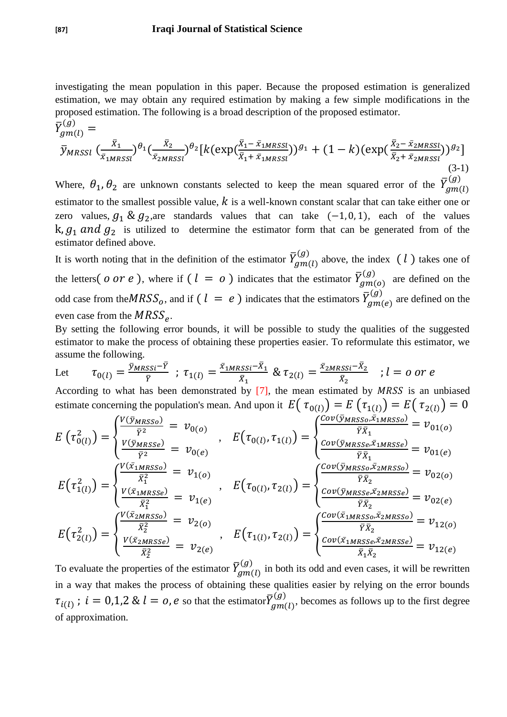investigating the mean population in this paper. Because the proposed estimation is generalized estimation, we may obtain any required estimation by making a few simple modifications in the proposed estimation. The following is a broad description of the proposed estimator.

$$
\bar{Y}_{gm(l)}^{(g)} = \bar{y}_{MRSSI} \left(\frac{\bar{x}_1}{\bar{x}_{1MRSSI}}\right)^{\theta_1} \left(\frac{\bar{x}_2}{\bar{x}_{2MRSSI}}\right)^{\theta_2} \left[k(\exp(\frac{\bar{x}_1 - \bar{x}_{1MRSSI}}{\bar{x}_1 + \bar{x}_{1MRSSI}}))^{g_1} + (1 - k)(\exp(\frac{\bar{x}_2 - \bar{x}_{2MRSSI}}{\bar{x}_2 + \bar{x}_{2MRSSI}}))^{g_2}\right]
$$
\n(3-1)

Where,  $\theta_1$ ,  $\theta_2$  are unknown constants selected to keep the mean squared error of the  $\bar{Y}_g^0$  $\overline{(\ }$ estimator to the smallest possible value,  $k$  is a well-known constant scalar that can take either one or zero values,  $g_1 \& g_2$ , are standards values that can take  $(-1, 0, 1)$ , each of the values  $k, g_1$  and  $g_2$  is utilized to determine the estimator form that can be generated from of the estimator defined above.

It is worth noting that in the definition of the estimator  $\bar{Y}_g^0$  $\binom{g}{m}$  above, the index  $(l)$  takes one of the letters (*o or e* ), where if (  $l~=~o$  ) indicates that the estimator  $\bar{Y}_g^0$  $\binom{g}{a}$  are defined on the odd case from the $MRSS_o,$  and if  $(\;l\;=\;e\;)$  indicates that the estimators  $\bar{Y}^0_g$  $\binom{g}{g}$  are defined on the even case from the  $MRSS_{e}$ .

By setting the following error bounds, it will be possible to study the qualities of the suggested estimator to make the process of obtaining these properties easier. To reformulate this estimator, we assume the following.

Let 
$$
\tau_{0(l)} = \frac{\bar{y}_{MRSSi} - \bar{Y}}{\bar{Y}}
$$
;  $\tau_{1(l)} = \frac{\bar{x}_{1MRSSi} - \bar{X}_1}{\bar{X}_1}$  &  $\tau_{2(l)} = \frac{\bar{x}_{2MRSSi} - \bar{X}_2}{\bar{X}_2}$ ;  $l = o$  or  $e$ 

According to what has been demonstrated by  $[7]$ , the mean estimated by MRSS is an unbiased estimate concerning the population's mean. And upon it  $E(\tau_{0(l)}) = E(\tau_{1(l)}) = E(\tau_{2(l)}) = 0$ 

$$
E\left(\tau_{0(l)}^2\right) = \begin{cases} \frac{V(\bar{y}_{MRSSO})}{\bar{Y}^2} = \nu_{0(o)} \\ \frac{V(\bar{y}_{MRSSe})}{\bar{Y}^2} = \nu_{0(e)} \end{cases}, \quad E\left(\tau_{0(l)}, \tau_{1(l)}\right) = \begin{cases} \frac{Cov(\bar{y}_{MRSSO}, \bar{x}_{1MRSSO})}{\bar{Y}\bar{X}_1} = \nu_{01(o)} \\ \frac{Cov(\bar{y}_{MRSSe}, \bar{x}_{1MRSSe})}{\bar{Y}\bar{X}_1} = \nu_{01(e)} \\ \frac{V(\bar{x}_{1MRSSO})}{\bar{X}_1^2} = \nu_{1(o)} \\ \frac{V(\bar{x}_{1MRSSO})}{\bar{X}_1^2} = \nu_{1(e)} \end{cases}, \quad E\left(\tau_{0(l)}, \tau_{2(l)}\right) = \begin{cases} \frac{Cov(\bar{y}_{MRSSO}, \bar{x}_{2MRSSO})}{\bar{Y}\bar{X}_2} = \nu_{02(o)} \\ \frac{Cov(\bar{y}_{MRSSO}, \bar{x}_{2MRSSO})}{\bar{Y}\bar{X}_2} = \nu_{02(e)} \\ \frac{V(\bar{x}_{2MRSSO})}{\bar{X}_2^2} = \nu_{2(o)} \\ \frac{V(\bar{x}_{2MRSSO})}{\bar{X}_2^2} = \nu_{2(e)} \end{cases}, \quad E\left(\tau_{1(l)}, \tau_{2(l)}\right) = \begin{cases} \frac{Cov(\bar{x}_{1MRSSO}, \bar{x}_{2MRSSO})}{\bar{Y}\bar{X}_2} = \nu_{12(o)} \\ \frac{Cov(\bar{x}_{1MRSSO}, \bar{x}_{2MRSSO})}{\bar{X}_1\bar{X}_2} = \nu_{12(e)} \end{cases}
$$

To evaluate the properties of the estimator  $\bar{Y}_g^0$  $\begin{bmatrix} g \\ g \\ m \end{bmatrix}$  in both its odd and even cases, it will be rewritten in a way that makes the process of obtaining these qualities easier by relying on the error bounds  $\tau_{i(l)}~;~i=0,1,2~\&~l=o,e$  so that the estimator $\bar Y_g^0$  $\binom{g}{m}$ , becomes as follows up to the first degree of approximation.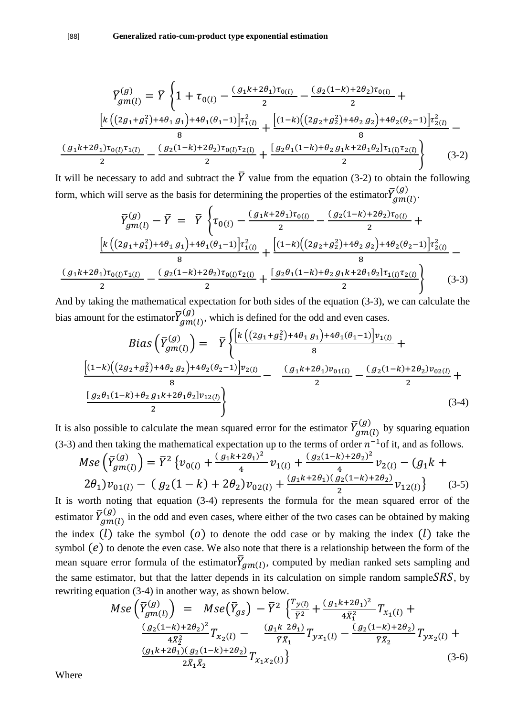$$
\overline{Y}_{gm(l)}^{(g)} = \overline{Y} \left\{ 1 + \tau_{0(l)} - \frac{(g_1 k + 2\theta_1) \tau_{0(l)}}{2} - \frac{(g_2 (1 - k) + 2\theta_2) \tau_{0(l)}}{2} + \frac{\left[ k \left( (2g_1 + g_1^2) + 4\theta_1 g_1 \right) + 4\theta_1 (\theta_1 - 1) \right] \tau_{1(l)}^2}{8} + \frac{\left[ (1 - k) \left( (2g_2 + g_2^2) + 4\theta_2 g_2 \right) + 4\theta_2 (\theta_2 - 1) \right] \tau_{2(l)}^2}{8} - \frac{(g_1 k + 2\theta_1) \tau_{0(l)} \tau_{1(l)}}{2} - \frac{(g_2 (1 - k) + 2\theta_2) \tau_{0(l)} \tau_{2(l)}}{2} + \frac{\left[ g_2 \theta_1 (1 - k) + \theta_2 g_1 k + 2\theta_1 \theta_2 \right] \tau_{1(l)} \tau_{2(l)}}{2} \right\} \tag{3-2}
$$

It will be necessary to add and subtract the  $\overline{Y}$  value from the equation (3-2) to obtain the following form, which will serve as the basis for determining the properties of the estimator $\bar Y_g^0$  $(g)$ <sub>2m</sub> $(h)$ <sup>2</sup>

$$
\overline{Y}_{gm(l)}^{(g)} - \overline{Y} = \overline{Y} \left\{ \tau_{0(i)} - \frac{(g_1 k + 2\theta_1) \tau_{0(l)}}{2} - \frac{(g_2 (1 - k) + 2\theta_2) \tau_{0(l)}}{2} + \frac{[k((2g_1 + g_1^2) + 4\theta_1 g_1) + 4\theta_1 (\theta_1 - 1)] \tau_{1(l)}^2}{8} + \frac{[(1 - k)((2g_2 + g_2^2) + 4\theta_2 g_2) + 4\theta_2 (\theta_2 - 1)] \tau_{2(l)}^2}{8} - \frac{(g_1 k + 2\theta_1) \tau_{0(l)} \tau_{1(l)}}{2} - \frac{(g_2 (1 - k) + 2\theta_2) \tau_{0(l)} \tau_{2(l)}}{2} + \frac{[g_2 \theta_1 (1 - k) + \theta_2 g_1 k + 2\theta_1 \theta_2] \tau_{1(l)} \tau_{2(l)}}{2} \right\}
$$
(3-3)

And by taking the mathematical expectation for both sides of the equation (3-3), we can calculate the bias amount for the estimator $\bar Y_g^0$  $(g)$ , which is defined for the odd and even cases.

$$
Bias\left(\overline{Y}_{gm(l)}^{(g)}\right) = \overline{Y}\left\{\frac{\left[k\left((2g_1+g_1^2)+4\theta_1 g_1\right)+4\theta_1(\theta_1-1)\right]v_{1(l)}}{8} + \frac{\left[(1-k)\left((2g_2+g_2^2)+4\theta_2 g_2\right)+4\theta_2(\theta_2-1)\right]v_{2(l)}}{8} - \frac{(g_1k+2\theta_1)v_{01(l)}}{2} - \frac{(g_2(1-k)+2\theta_2)v_{02(l)}}{2} + \frac{\left[g_2\theta_1(1-k)+\theta_2 g_1k+2\theta_1\theta_2\right]v_{12(l)}}{2}\right\}
$$
\n(3-4)

It is also possible to calculate the mean squared error for the estimator  $\bar{Y}_g^0$  $\binom{g}{g}$  by squaring equation (3-3) and then taking the mathematical expectation up to the terms of order  $n^{-1}$  of it, and as follows.

$$
Mse\left(\overline{Y}_{gm(l)}^{(g)}\right) = \overline{Y}^2 \left\{ v_{0(l)} + \frac{(g_1 k + 2\theta_1)^2}{4} v_{1(l)} + \frac{(g_2 (1 - k) + 2\theta_2)^2}{4} v_{2(l)} - (g_1 k + 2\theta_1) v_{01(l)} - (g_2 (1 - k) + 2\theta_2) v_{02(l)} + \frac{(g_1 k + 2\theta_1)(g_2 (1 - k) + 2\theta_2)}{2} v_{12(l)} \right\}
$$
(3-5)

It is worth noting that equation (3-4) represents the formula for the mean squared error of the estimator  $\bar{Y}_g^0$  $\begin{bmatrix} g \\ g \end{bmatrix}$  in the odd and even cases, where either of the two cases can be obtained by making the index  $(l)$  take the symbol  $(0)$  to denote the odd case or by making the index  $(l)$  take the symbol  $(e)$  to denote the even case. We also note that there is a relationship between the form of the mean square error formula of the estimator $\bar{Y}_{gm(l)}$ , computed by median ranked sets sampling and the same estimator, but that the latter depends in its calculation on simple random sample  $SRS$ , by rewriting equation (3-4) in another way, as shown below.

$$
Mse\left(\overline{Y}_{gm(l)}^{(g)}\right) = Mse\left(\overline{Y}_{gs}\right) - \overline{Y}^2 \left\{\frac{T_{y(l)}}{\overline{Y}^2} + \frac{(g_1 k + 2\theta_1)^2}{4\overline{X}_1^2} T_{x_1(l)} + \frac{(g_2(1-k) + 2\theta_2)^2}{4\overline{X}_2^2} T_{x_2(l)} - \frac{(g_1 k \ 2\theta_1)}{\overline{Y}\overline{X}_1} T_{yx_1(l)} - \frac{(g_2(1-k) + 2\theta_2)}{\overline{Y}\overline{X}_2} T_{yx_2(l)} + \frac{(g_1 k + 2\theta_1)(g_2(1-k) + 2\theta_2)}{2\overline{X}_1 \overline{X}_2} T_{x_1 x_2(l)}\right\}
$$
\n(3-6)

Where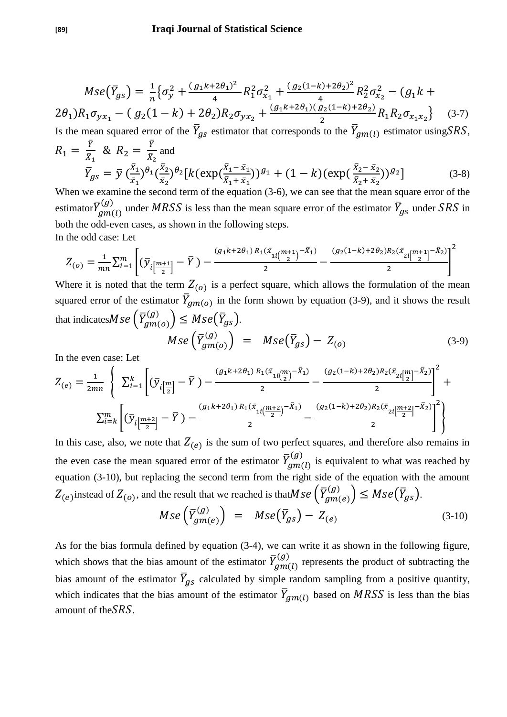$$
Mse(\bar{Y}_{gs}) = \frac{1}{n} \{ \sigma_y^2 + \frac{(g_1 k + 2\theta_1)^2}{4} R_1^2 \sigma_{x_1}^2 + \frac{(g_2 (1 - k) + 2\theta_2)^2}{4} R_2^2 \sigma_{x_2}^2 - (g_1 k + 2\theta_1) R_1 \sigma_{yx_1} - (g_2 (1 - k) + 2\theta_2) R_2 \sigma_{yx_2} + \frac{(g_1 k + 2\theta_1)(g_2 (1 - k) + 2\theta_2)}{2} R_1 R_2 \sigma_{x_1 x_2} \}
$$
(3-7)

Is the mean squared error of the  $\bar{Y}_{gs}$  estimator that corresponds to the  $\bar{Y}_{gm(l)}$  estimator using SRS,  $R_1 = \frac{\bar{Y}}{\bar{Y}}$  &  $R_2 = \frac{\bar{Y}}{\bar{Y}}$ and

$$
\bar{Y}_{gs} = \bar{y} \left( \frac{\bar{X}_1}{\bar{x}_1} \right)^{\theta_1} \left( \frac{\bar{X}_2}{\bar{x}_2} \right)^{\theta_2} \left[ k \left( \exp\left( \frac{\bar{X}_1 - \bar{x}_1}{\bar{X}_1 + \bar{x}_1} \right) \right)^{g_1} + (1 - k) \left( \exp\left( \frac{\bar{X}_2 - \bar{x}_2}{\bar{X}_2 + \bar{x}_2} \right) \right)^{g_2} \right] \tag{3-8}
$$
\nWhen we examine the second term of the equation (3.6), we can see that the mean square curve of the equation (3.12).

When we examine the second term of the equation (3-6), we can see that the mean square error of the estimator $\bar{Y}_g^0$  $\overline{U}_{nm(l)}^{(g)}$  under  $MRSS$  is less than the mean square error of the estimator  $\overline{Y}_{gs}$  under SRS in both the odd-even cases, as shown in the following steps. In the odd case: Let

$$
Z_{(o)} = \frac{1}{mn} \sum_{i=1}^{m} \left[ \left( \overline{\mathcal{Y}}_i \left[ \frac{m+1}{2} \right] - \overline{Y} \right) - \frac{(g_1 k + 2 \theta_1) R_1 (\overline{x}_{1i} \left[ \frac{m+1}{2} \right] - \overline{X}_1)}{2} - \frac{(g_2 (1-k) + 2 \theta_2) R_2 (\overline{x}_{2i} \left[ \frac{m+1}{2} \right] - \overline{X}_2)}{2} \right]^2
$$

Where it is noted that the term  $Z_{(0)}$  is a perfect square, which allows the formulation of the mean squared error of the estimator  $\overline{Y}_{gm(o)}$  in the form shown by equation (3-9), and it shows the result that indicates $M$ S $e\left( \bar{Y}_{g}^{0}\right)$  $\binom{(g)}{2m(o)}$   $\leq Mse(\bar{Y}_{gs})$ .  $Mse$  (  $\bar{Y}$  $\overline{(\ }$ 

$$
Mse\left(\overline{Y}_{gm(o)}^{(g)}\right) = Mse\left(\overline{Y}_{gs}\right) - Z_{(o)} \tag{3-9}
$$

In the even case: Let

$$
Z_{(e)} = \frac{1}{2mn} \left\{ \sum_{i=1}^{k} \left[ (\overline{y}_{i\left[\frac{m}{2}\right]} - \overline{Y}) - \frac{(g_1 k + 2\theta_1) R_1(\overline{x}_{1i\left(\frac{m}{2}\right)} - \overline{X}_1)}{2} - \frac{(g_2 (1-k) + 2\theta_2) R_2(\overline{x}_{2i\left[\frac{m}{2}\right]} - \overline{X}_2)}{2} \right]^2 + \sum_{i=k}^{m} \left[ (\overline{y}_{i\left[\frac{m+2}{2}\right]} - \overline{Y}) - \frac{(g_1 k + 2\theta_1) R_1(\overline{x}_{1i\left(\frac{m+2}{2}\right)} - \overline{X}_1)}{2} - \frac{(g_2 (1-k) + 2\theta_2) R_2(\overline{x}_{2i\left[\frac{m+2}{2}\right]} - \overline{X}_2)}{2} \right]^2 \right\}
$$

In this case, also, we note that  $Z_{(e)}$  is the sum of two perfect squares, and therefore also remains in the even case the mean squared error of the estimator  $\bar{Y}_g^0$  $\binom{g}{m}$  is equivalent to what was reached by equation (3-10), but replacing the second term from the right side of the equation with the amount  $Z_{(e)}$ instead of  $Z_{(o)},$  and the result that we reached is that $\mathit{Mse}\left( \bar{Y}_{g}^{(i)} \right)$  $\binom{(g)}{2m(e)}$   $\leq Mse(\bar{Y}_{gs})$ .  $Mse\left( \, \overline{Y}\right)$ 

$$
Wse\left(\overline{Y}_{gm(e)}^{(g)}\right) = Mse\left(\overline{Y}_{gs}\right) - Z_{(e)} \tag{3-10}
$$

As for the bias formula defined by equation (3-4), we can write it as shown in the following figure, which shows that the bias amount of the estimator  $\bar{Y}_g^0$  $\begin{pmatrix} g \\ g \\ m \end{pmatrix}$  represents the product of subtracting the bias amount of the estimator  $\bar{Y}_{gs}$  calculated by simple random sampling from a positive quantity, which indicates that the bias amount of the estimator  $\bar{Y}_{gm(l)}$  based on *MRSS* is less than the bias amount of the  $SRS$ .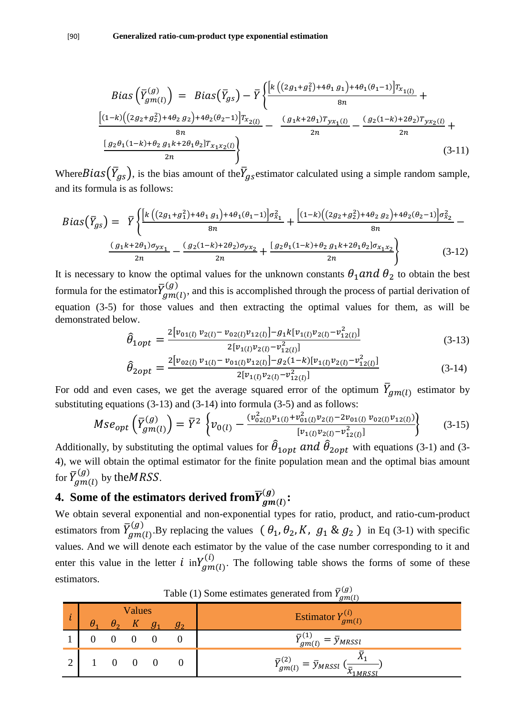$$
Bias\left(\overline{Y}_{gm(l)}^{(g)}\right) = Bias\left(\overline{Y}_{gs}\right) - \overline{Y}\left\{\frac{\left[k\left((2g_1+g_1^2)+4\theta_1 g_1\right)+4\theta_1(\theta_1-1)\right]T_{x_{1(l)}}}{g_n} + \frac{\left[(1-k)\left((2g_2+g_2^2)+4\theta_2 g_2\right)+4\theta_2(\theta_2-1)\right]T_{x_{2(l)}}}{g_n} - \frac{(g_1k+2\theta_1)T_{yx_1(l)}}{2n} - \frac{(g_2(1-k)+2\theta_2)T_{yx_2(l)}}{2n} + \frac{\left[g_2\theta_1(1-k)+\theta_2 g_1k+2\theta_1\theta_2\right]T_{x_1x_2(l)}}{2n}\right\}
$$
\n(3-11)

Where  $Bias(\bar{Y}_{gs})$ , is the bias amount of the  $\bar{Y}_{gs}$  estimator calculated using a simple random sample, and its formula is as follows:

$$
Bias(\overline{Y}_{gs}) = \overline{Y} \left\{ \frac{\left[k\left((2g_1 + g_1^2) + 4\theta_1 g_1\right) + 4\theta_1(\theta_1 - 1) \right] \sigma_{x_1}^2}{g_n} + \frac{\left[(1 - k)\left((2g_2 + g_2^2) + 4\theta_2 g_2\right) + 4\theta_2(\theta_2 - 1) \right] \sigma_{x_2}^2}{g_n} - \frac{\left(g_1 k + 2\theta_1\right) \sigma_{y x_1}}{2n} - \frac{\left(g_2(1 - k) + 2\theta_2\right) \sigma_{y x_2}}{2n} + \frac{\left[g_2 \theta_1(1 - k) + \theta_2 g_1 k + 2\theta_1 \theta_2\right] \sigma_{x_1 x_2}}{2n} \right\} \tag{3-12}
$$

It is necessary to know the optimal values for the unknown constants  $\theta_1$  and  $\theta_2$  to obtain the best formula for the estimator $\bar Y_g^0$  $(g)$ , and this is accomplished through the process of partial derivation of equation (3-5) for those values and then extracting the optimal values for them, as will be demonstrated below.

$$
\hat{\theta}_{1opt} = \frac{2[v_{01(l)}v_{2(l)} - v_{02(l)}v_{12(l)}] - g_1k[v_{1(l)}v_{2(l)} - v_{12(l)}^2]}{2[v_{1(l)}v_{2(l)} - v_{12(l)}^2]}
$$
(3-13)

$$
\hat{\theta}_{2opt} = \frac{2[v_{02(l)}v_{1(l)} - v_{01(l)}v_{12(l)}] - g_2(1-k)[v_{1(l)}v_{2(l)} - v_{12(l)}^2]}{2[v_{1(l)}v_{2(l)} - v_{12(l)}^2]}
$$
(3-14)

For odd and even cases, we get the average squared error of the optimum  $\bar{Y}_{gm(l)}$  estimator by substituting equations (3-13) and (3-14) into formula (3-5) and as follows:

$$
Mse_{opt}\left(\overline{Y}_{gm(l)}^{(g)}\right) = \overline{Y}^2 \left\{ v_{0(l)} - \frac{(v_{02(l)}^2 v_{1(l)} + v_{01(l)}^2 v_{2(l)} - 2 v_{01(l)} v_{02(l)} v_{12(l)})}{[v_{1(l)} v_{2(l)} - v_{12(l)}^2]}\right\}
$$
(3-15)

Additionally, by substituting the optimal values for  $\hat{\theta}_{1opt}$  and  $\hat{\theta}_{2opt}$  with equations (3-1) and (3-4), we will obtain the optimal estimator for the finite population mean and the optimal bias amount for  $\bar{Y}_g^0$  $\binom{(g)}{m(h)}$  by the MRSS.

#### **4. Some of the estimators derived from**  $\overline{Y}_g^{(k)}$  $(g)$ <br>am(b):

We obtain several exponential and non-exponential types for ratio, product, and ratio-cum-product estimators from  $\bar{Y}_g^0$  $\mathcal{L}_{nm(I)}^{(g)}$ . By replacing the values  $\left(\theta_1, \theta_2, K, g_1 \& g_2\right)$  in Eq (3-1) with specific values. And we will denote each estimator by the value of the case number corresponding to it and enter this value in the letter  $i$  in $Y_{am(l)}^{(i)}$ . The following table shows the forms of some of these estimators.

| <b>Values</b><br>$g_{2}$ |  |  |  |  | $\sigma$<br>Estimator $Y_{gm(l)}^{(i)}$                                                               |
|--------------------------|--|--|--|--|-------------------------------------------------------------------------------------------------------|
|                          |  |  |  |  | $\bar Y^{(1)}_{gm(l)}$<br>$=\bar{y}_{MRSSI}$                                                          |
|                          |  |  |  |  | $\bar Y^{(2)}_{gm(l)}$<br>$\tau_{\mu(I)} = \bar{y}_{MRSSI} \left( \frac{1}{\bar{x}_{1MRSSI}} \right)$ |

Table (1) Some estimates generated from  $\bar{Y}_g^0$  $\overline{(\ }$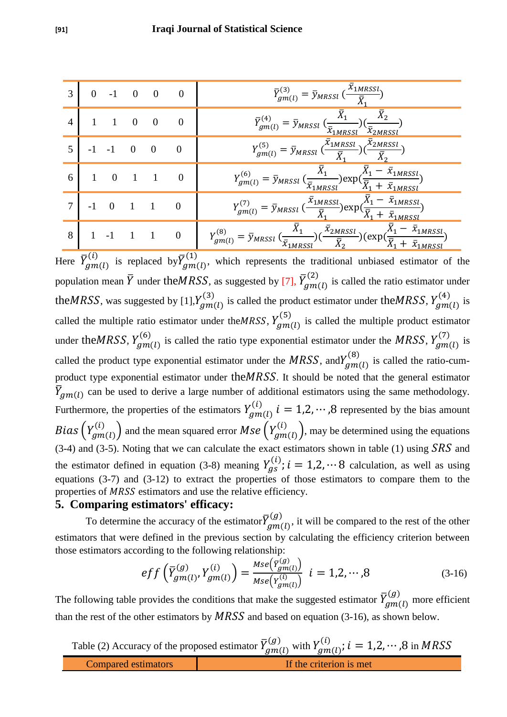|                | $0 \t -1 \t 0 \t 0$                                                           |               |  | $\overline{0}$   | $\bar{Y}_{gm(l)}^{(3)} = \bar{y}_{MRSSI} \left(\frac{x_{1MRSSI}}{\bar{Y}_{2}}\right)$                                                                                                                                               |
|----------------|-------------------------------------------------------------------------------|---------------|--|------------------|-------------------------------------------------------------------------------------------------------------------------------------------------------------------------------------------------------------------------------------|
| $\overline{4}$ | $1 \quad 1 \quad 0 \quad 0$                                                   |               |  | $\overline{0}$   | $\bar{Y}_{gm(l)}^{(4)} = \bar{y}_{MRSSI} \left(\frac{\bar{X}_1}{\bar{x}_{1MRSSI}}\right) \left(\frac{\bar{X}_2}{\bar{x}_{2MRSSI}}\right)$                                                                                           |
| $\overline{5}$ |                                                                               | $-1$ $-1$ 0 0 |  | $\boldsymbol{0}$ | $Y_{gm(l)}^{(5)} = \bar{y}_{MRSSI} (\frac{\bar{x}_{1MRSSI}}{\bar{X}_{2}})(\frac{\bar{x}_{2MRSSI}}{\bar{X}_{2}})$                                                                                                                    |
|                | $6 \begin{array}{ c c c c c } \hline 1 & 0 & 1 & 1 & 0 \\ \hline \end{array}$ |               |  |                  | $Y_{gm(l)}^{(6)} = \bar{y}_{MRSSI} \left(\frac{\bar{X}_1}{\bar{x}_{1MRSSI}}\right) \exp\left(\frac{\bar{X}_1 - \bar{x}_{1MRSSI}}{\bar{X}_1 + \bar{x}_{1MRSSI}}\right)$                                                              |
|                |                                                                               | $-1$ 0 1 1 0  |  |                  | $Y_{gm(l)}^{(7)} = \overline{y}_{MRSSI} \left( \frac{\overline{x}_{1MRSSl}}{\overline{X}_{1}} \right) \exp \left( \frac{\overline{X}_{1} - \overline{x}_{1MRSSl}}{\overline{X}_{1} + \overline{x}_{1MRSSl}} \right)$                |
|                | $8 \mid 1 \cdot 1 \cdot 1 \cdot 1 \cdot 0$                                    |               |  |                  | $Y_{gm(l)}^{(8)} = \bar{y}_{MRSSI} \left(\frac{\bar{X}_1}{\bar{X}_{1MRSSI}}\right) \left(\frac{\bar{x}_{2MRSSI}}{\bar{X}_2}\right) \left(\exp\left(\frac{\bar{X}_1 - \bar{x}_{1MRSSI}}{\bar{X}_1 + \bar{x}_{1MRSSI}}\right)\right)$ |

Here  $\bar{Y}_g^0$  $\bar{g}^{(i)}_{jm(l)}$  is replaced by  $\bar{Y}^{\text{(i)}}_{g}$  $\binom{1}{1}$ , which represents the traditional unbiased estimator of the population mean  $\bar{Y}$  under the MRSS, as suggested by [7],  $\bar{Y}^0_g$  $\binom{2}{2}$  is called the ratio estimator under the MRSS, was suggested by [1],  $Y_{am(1)}^{(3)}$  is called the product estimator under the MRSS,  $Y_{am(1)}^{(4)}$  is called the multiple ratio estimator under the MRSS,  $Y_{am(I)}^{(5)}$  is called the multiple product estimator under the MRSS,  $Y_{am(l)}^{(6)}$  is called the ratio type exponential estimator under the MRSS,  $Y_{am(l)}^{(7)}$  is called the product type exponential estimator under the *MRSS*, and  $Y_{am(l)}^{(8)}$  is called the ratio-cumproduct type exponential estimator under the  $MRSS$ . It should be noted that the general estimator  $\bar{Y}_{gm(l)}$  can be used to derive a large number of additional estimators using the same methodology. Furthermore, the properties of the estimators  $Y_{am(1)}^{(i)}$   $i = 1, 2, \dots, 8$  represented by the bias amount Bias  $(Y_{am(l)}^{(i)})$  and the mean squared error  $Mse(Y_{am(l)}^{(i)})$ , may be determined using the equations (3-4) and (3-5). Noting that we can calculate the exact estimators shown in table (1) using  $SRS$  and the estimator defined in equation (3-8) meaning  $Y_{as}^{(i)}$ ;  $i = 1, 2, \dots 8$  calculation, as well as using equations (3-7) and (3-12) to extract the properties of those estimators to compare them to the properties of MRSS estimators and use the relative efficiency.

### **5. Comparing estimators' efficacy:**

To determine the accuracy of the estimator $\bar{Y}_g^0$  $(g)$ <br> $(m(l))$ , it will be compared to the rest of the other estimators that were defined in the previous section by calculating the efficiency criterion between those estimators according to the following relationship:

$$
eff\left(\overline{Y}_{gm(l)}^{(g)}, Y_{gm(l)}^{(i)}\right) = \frac{Mse(\overline{Y}_{gm(l)}^{(g)})}{Mse(Y_{gm(l)}^{(i)})} \quad i = 1, 2, \cdots, 8 \tag{3-16}
$$

The following table provides the conditions that make the suggested estimator  $\bar{Y}_g^0$  $\binom{g}{m}$  more efficient than the rest of the other estimators by  $MRSS$  and based on equation (3-16), as shown below.

Table (2) Accuracy of the proposed estimator  $\bar{Y}_g^0$  $\chi_{(g)}^{(g)}$  with  $Y_{(am)(i)}^{(i)}$ ;  $i = 1, 2, \cdots, 8$  in Compared estimators I is not in the criterion is met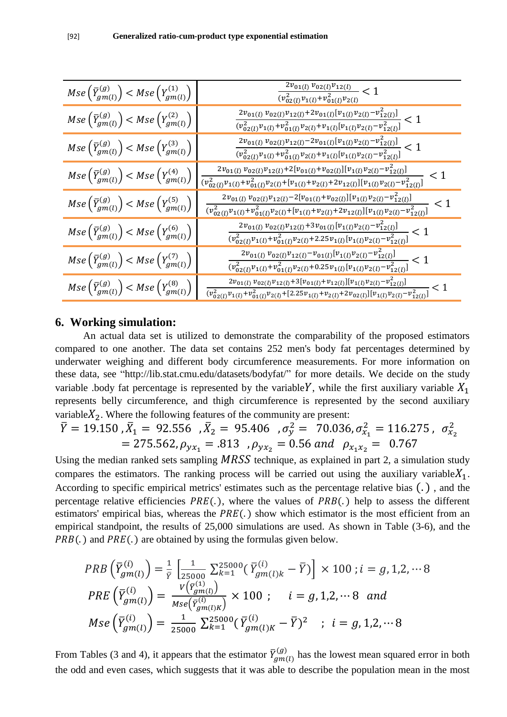| $Mse\left(\overline{Y}_{gm(l)}^{(g)}\right) < Mse\left(Y_{gm(l)}^{(1)}\right)$ | $\frac{2v_{01(l)}v_{02(l)}v_{12(l)}}{(v_{02(l)}^2v_{1(l)}+v_{01(l)}^2v_{2(l)}}<1$                                                                                                                                                                                                                                                                                                                                                    |
|--------------------------------------------------------------------------------|--------------------------------------------------------------------------------------------------------------------------------------------------------------------------------------------------------------------------------------------------------------------------------------------------------------------------------------------------------------------------------------------------------------------------------------|
| $Mse\left(\overline{Y}_{gm(l)}^{(g)}\right) < Mse\left(Y_{gm(l)}^{(2)}\right)$ | $\frac{2v_{01(l)}v_{02(l)}v_{12(l)}+2v_{01(l)}[v_{1(l)}v_{2(l)}-v_{12(l)}^2]}{(v_{02(l)}^2v_{1(l)}+v_{01(l)}^2v_{2(l)}+v_{1(l)}[v_{1(l)}v_{2(l)}-v_{12(l)}^2]}<1$                                                                                                                                                                                                                                                                    |
| $Mse\left(\overline{Y}_{gm(l)}^{(g)}\right) < Mse\left(Y_{gm(l)}^{(3)}\right)$ | $\frac{2v_{01(l)}v_{02(l)}v_{12(l)}-2v_{01(l)}[v_{1(l)}v_{2(l)}-v_{12(l)}^2]}{(v_{02(l)}^2v_{1(l)}+v_{01(l)}^2v_{2(l)}+v_{1(l)}[v_{1(l)}v_{2(l)}-v_{12(l)}^2]}<1$                                                                                                                                                                                                                                                                    |
| $Mse\left(\overline{Y}_{gm(l)}^{(g)}\right) < Mse\left(Y_{gm(l)}^{(4)}\right)$ | $2v_{01(l)}v_{02(l)}v_{12(l)}+2[v_{01(l)}+v_{02(l)}][v_{1(l)}v_{2(l)}-v_{12(l)}^2]$<br>$\overline{(v_{02(l)}^2v_{1(l)}^{\phantom{2}}+v_{01(l)}^2v_{2(l)}^{\phantom{2}}+ [v_{1(l)}^{\phantom{2}}+v_{2(l)}^{\phantom{2}}+2v_{12(l)}^{\phantom{2}}][v_{1(l)}^{\phantom{2}}v_{2(l)}^{\phantom{2}}-v_{12(l)}^2]}$                                                                                                                         |
| $Mse\left(\overline{Y}_{gm(l)}^{(g)}\right) < Mse\left(Y_{gm(l)}^{(5)}\right)$ | $2v_{01(l)}v_{02(l)}v_{12(l)}-2[v_{01(l)}+v_{02(l)}][v_{1(l)}v_{2(l)}-v_{12(l)}^2]$<br>$\leq 1$<br>$(v_{02(l)}^2v_{1(l)}+v_{01(l)}^2v_{2(l)}+[v_{1(l)}+v_{2(l)}+2v_{12(l)}][v_{1(l)}v_{2(l)}-v_{12(l)}^2]$                                                                                                                                                                                                                           |
| $Mse\left(\overline{Y}_{gm(l)}^{(g)}\right) < Mse\left(Y_{gm(l)}^{(6)}\right)$ | $2v_{01(l)}v_{02(l)}v_{12(l)}+3v_{01(l)}[v_{1(l)}v_{2(l)}-v_{12(l)}^2]$<br>$\frac{v_{02(l)}^2 v_{1(l)} + v_{01(l)}^2 v_{2(l)} + 2.25 v_{1(l)} [v_{1(l)} v_{2(l)} - v_{12(l)}^2]}{v_{12(l)}^2 v_{12(l)}^2} < 1$                                                                                                                                                                                                                       |
| $Mse\left(\overline{Y}_{gm(l)}^{(g)}\right) < Mse\left(Y_{gm(l)}^{(7)}\right)$ | $\frac{2v_{01(l)}v_{02(l)}v_{12(l)}-v_{01(l)}[v_{1(l)}v_{2(l)}-v_{12(l)}^2]}{2v_{01(l)}v_{12(l)}v_{12(l)}v_{12(l)}v_{12(l)}v_{12(l)}v_{12(l)}v_{12(l)}v_{12(l)}v_{12(l)}v_{12(l)}v_{12(l)}v_{12(l)}v_{12(l)}v_{12(l)}v_{12(l)}v_{12(l)}v_{12(l)}v_{12(l)}v_{12(l)}v_{12(l)}v_{12(l)}v_{12(l)}v_{12(l)}v_{12(l)}v_{12(l)}v_{12(l)}v_{12(l)}$<br>$(v_{02(l)}^2v_{1(l)}+v_{01(l)}^2v_{2(l)}+0.25v_{1(l)}[v_{1(l)}v_{2(l)}-v_{12(l)}^2]$ |
| $Mse\left(\overline{Y}_{gm(l)}^{(g)}\right) < Mse\left(Y_{gm(l)}^{(8)}\right)$ | $2v_{01(l)}v_{02(l)}v_{12(l)}+3[v_{01(l)}+v_{12(l)}][v_{1(l)}v_{2(l)}-v_{12(l)}^2]$<br>$\frac{v_{02(l)}^2 v_{1(l)} + v_{01(l)}^2 v_{2(l)} + [2.25v_{1(l)} + v_{2(l)} + 2v_{02(l)}][v_{1(l)}v_{2(l)} - v_{12(l)}^2]}{v_{12(l)}^2 v_{2(l)} + v_{12(l)}^2 v_{2(l)} + v_{22(l)}^2 v_{2(l)} + v_{22(l)}^2 v_{2(l)}^2}$                                                                                                                    |

### **6. Working simulation:**

 An actual data set is utilized to demonstrate the comparability of the proposed estimators compared to one another. The data set contains 252 men's body fat percentages determined by underwater weighing and different body circumference measurements. For more information on these data, see "http://lib.stat.cmu.edu/datasets/bodyfat/" for more details. We decide on the study variable .body fat percentage is represented by the variable Y, while the first auxiliary variable  $X_1$ represents belly circumference, and thigh circumference is represented by the second auxiliary variable  $X_2$ . Where the following features of the community are present:

$$
\overline{Y} = 19.150 \, , \overline{X}_1 = 92.556 \, , \overline{X}_2 = 95.406 \, , \sigma_y^2 = 70.036 \, , \sigma_{x_1}^2 = 116.275 \, , \, \sigma_{x_2}^2 = 275.562 \, , \rho_{yx_1} = .813 \, , \rho_{yx_2} = 0.56 \, and \, \rho_{x_1x_2} = 0.767
$$

Using the median ranked sets sampling  $MRSS$  technique, as explained in part 2, a simulation study compares the estimators. The ranking process will be carried out using the auxiliary variable  $X_1$ . According to specific empirical metrics' estimates such as the percentage relative bias  $(.)$ , and the percentage relative efficiencies  $PRE(.)$ , where the values of  $PRB(.)$  help to assess the different estimators' empirical bias, whereas the  $PRE(.)$  show which estimator is the most efficient from an empirical standpoint, the results of 25,000 simulations are used. As shown in Table (3-6), and the  $PRB(.)$  and  $PRE(.)$  are obtained by using the formulas given below.

$$
PRB\left(\overline{Y}_{gm(l)}^{(i)}\right) = \frac{1}{\overline{Y}} \left[ \frac{1}{25000} \sum_{k=1}^{25000} \left( \overline{Y}_{gm(l)k}^{(i)} - \overline{Y} \right) \right] \times 100 \; ; i = g, 1, 2, \cdots 8
$$
\n
$$
PRE\left(\overline{Y}_{gm(l)}^{(i)}\right) = \frac{V\left(\overline{Y}_{gm(l)}^{(1)}\right)}{Mse\left(\overline{Y}_{gm(l)K}^{(i)}\right)} \times 100 \; ; \quad i = g, 1, 2, \cdots 8 \text{ and}
$$
\n
$$
Mse\left(\overline{Y}_{gm(l)}^{(i)}\right) = \frac{1}{25000} \sum_{k=1}^{25000} \left( \overline{Y}_{gm(l)K}^{(i)} - \overline{Y} \right)^2 \; ; \; i = g, 1, 2, \cdots 8
$$

From Tables (3 and 4), it appears that the estimator  $\bar{Y}_g^($  $\binom{g}{m}$  has the lowest mean squared error in both the odd and even cases, which suggests that it was able to describe the population mean in the most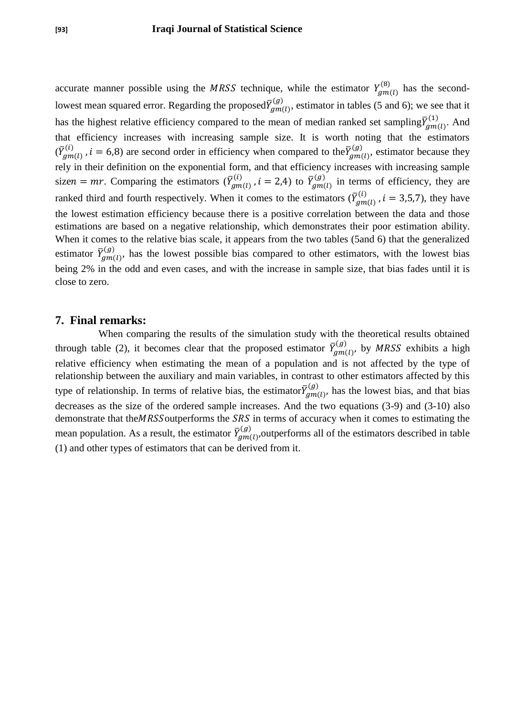accurate manner possible using the MRSS technique, while the estimator  $Y_{am(l)}^{(8)}$  has the secondlowest mean squared error. Regarding the proposed $\bar{Y}_g^0$  $\binom{g}{m}$ , estimator in tables (5 and 6); we see that it has the highest relative efficiency compared to the mean of median ranked set sampling  $\bar{Y}_g^0$  $\binom{(1)}{2m(l)}$ . And that efficiency increases with increasing sample size. It is worth noting that the estimators  $(\bar Y_g^0$  $\overline{C}_{gmn(l)}^{(i)}$ ,  $i = 6.8$ ) are second order in efficiency when compared to the  $\overline{Y}_{g}^{(i)}$  $\binom{g}{m}$ , estimator because they rely in their definition on the exponential form, and that efficiency increases with increasing sample sizen = mr. Comparing the estimators ( $\overline{Y}_g^($  $_{\eta m(l)}^{(i)}$  ,  $i=2,4$ ) to  $\bar{Y}_g^{(i)}$  $\binom{g}{m}$  in terms of efficiency, they are ranked third and fourth respectively. When it comes to the estimators  $(\bar{Y}_g^{\dagger})$  $\binom{i}{m(i)}$ ,  $i = 3,5,7$ , they have the lowest estimation efficiency because there is a positive correlation between the data and those estimations are based on a negative relationship, which demonstrates their poor estimation ability. When it comes to the relative bias scale, it appears from the two tables (5and 6) that the generalized estimator  $\bar{Y}_g^($  $\binom{g}{m}$ , has the lowest possible bias compared to other estimators, with the lowest bias being 2% in the odd and even cases, and with the increase in sample size, that bias fades until it is close to zero.

#### **7. Final remarks:**

 When comparing the results of the simulation study with the theoretical results obtained through table (2), it becomes clear that the proposed estimator  $\overline{Y}_g^0$  $\binom{g}{g}$  by MRSS exhibits a high relative efficiency when estimating the mean of a population and is not affected by the type of relationship between the auxiliary and main variables, in contrast to other estimators affected by this type of relationship. In terms of relative bias, the estimator  $\bar{Y}_g^($  $\binom{g}{m}$ , has the lowest bias, and that bias decreases as the size of the ordered sample increases. And the two equations (3-9) and (3-10) also demonstrate that the MRSS outperforms the SRS in terms of accuracy when it comes to estimating the mean population. As a result, the estimator  $\bar{Y}_g^($  $\binom{g}{m}$  outperforms all of the estimators described in table (1) and other types of estimators that can be derived from it.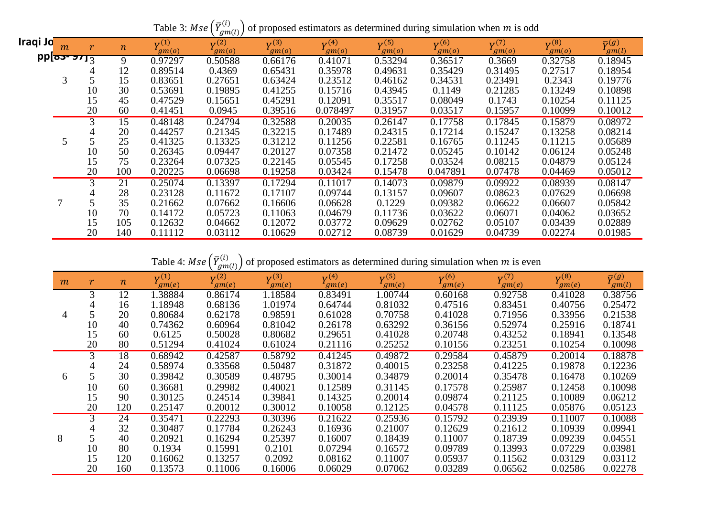| Iraqi Jo <mark>l</mark> | m                | r  | $\boldsymbol{n}$ | $V^{(1)}$<br>gm(o) | 1011<br>$V^{(2)}$<br>gm(o) | $V^{(3)}$<br>gm(o) | $V^{(4)}$<br>gm(o) | $V^{(5)}$<br>gm(o) | $V^{(6)}$<br>gm(o) | $V^{(7)}$<br>gm(o) | $V^{(8)}$<br>gm(o) | $\bar{V}^{(g)}$<br>gm(l) |
|-------------------------|------------------|----|------------------|--------------------|----------------------------|--------------------|--------------------|--------------------|--------------------|--------------------|--------------------|--------------------------|
|                         | $pp$ م - عدد $p$ |    | 9                | 0.97297            | 0.50588                    | 0.66176            | 0.41071            | 0.53294            | 0.36517            | 0.3669             | 0.32758            | 0.18945                  |
|                         |                  |    | 12               | 0.89514            | 0.4369                     | 0.65431            | 0.35978            | 0.49631            | 0.35429            | 0.31495            | 0.27517            | 0.18954                  |
|                         |                  |    | 15               | 0.83651            | 0.27651                    | 0.63424            | 0.23512            | 0.46162            | 0.34531            | 0.23491            | 0.2343             | 0.19776                  |
|                         |                  | 10 | 30               | 0.53691            | 0.19895                    | 0.41255            | 0.15716            | 0.43945            | 0.1149             | 0.21285            | 0.13249            | 0.10898                  |
|                         |                  | 15 | 45               | 0.47529            | 0.15651                    | 0.45291            | 0.12091            | 0.35517            | 0.08049            | 0.1743             | 0.10254            | 0.11125                  |
|                         |                  | 20 | 60               | 0.41451            | 0.0945                     | 0.39516            | 0.078497           | 0.31957            | 0.03517            | 0.15957            | 0.10099            | 0.10012                  |
|                         |                  | 3  | 15               | 0.48148            | 0.24794                    | 0.32588            | 0.20035            | 0.26147            | 0.17758            | 0.17845            | 0.15879            | 0.08972                  |
|                         |                  |    | 20               | 0.44257            | 0.21345                    | 0.32215            | 0.17489            | 0.24315            | 0.17214            | 0.15247            | 0.13258            | 0.08214                  |
|                         | 5                |    | 25               | 0.41325            | 0.13325                    | 0.31212            | 0.11256            | 0.22581            | 0.16765            | 0.11245            | 0.11215            | 0.05689                  |
|                         |                  | 10 | 50               | 0.26345            | 0.09447                    | 0.20127            | 0.07358            | 0.21472            | 0.05245            | 0.10142            | 0.06124            | 0.05248                  |
|                         |                  | 15 | 75               | 0.23264            | 0.07325                    | 0.22145            | 0.05545            | 0.17258            | 0.03524            | 0.08215            | 0.04879            | 0.05124                  |
|                         |                  | 20 | 100              | 0.20225            | 0.06698                    | 0.19258            | 0.03424            | 0.15478            | 0.047891           | 0.07478            | 0.04469            | 0.05012                  |
|                         |                  | 3  | 21               | 0.25074            | 0.13397                    | 0.17294            | 0.11017            | 0.14073            | 0.09879            | 0.09922            | 0.08939            | 0.08147                  |
|                         |                  |    | 28               | 0.23128            | 0.11672                    | 0.17107            | 0.09744            | 0.13157            | 0.09607            | 0.08623            | 0.07629            | 0.06698                  |
|                         |                  |    | 35               | 0.21662            | 0.07662                    | 0.16606            | 0.06628            | 0.1229             | 0.09382            | 0.06622            | 0.06607            | 0.05842                  |
|                         |                  | 10 | 70               | 0.14172            | 0.05723                    | 0.11063            | 0.04679            | 0.11736            | 0.03622            | 0.06071            | 0.04062            | 0.03652                  |
|                         |                  | 15 | 105              | 0.12632            | 0.04662                    | 0.12072            | 0.03772            | 0.09629            | 0.02762            | 0.05107            | 0.03439            | 0.02889                  |
|                         |                  | 20 | 140              | 0.11112            | 0.03112                    | 0.10629            | 0.02712            | 0.08739            | 0.01629            | 0.04739            | 0.02274            | 0.01985                  |

Table 4:  $Mse\left( \bar{Y}_{g}^{(h)}\right)$  $\binom{i}{i}$  of proposed estimators as determined during simulation when m is even

| m | r  | $\boldsymbol{n}$ | $V^{(1)}$<br>gm(e) | ◟◡<br><u>、</u><br>$V^{(2)}$<br>gm(e) | $V^{(3)}$<br>gm(e) | $V^{(4)}$<br>gm(e) | $V^{(5)}$<br>gm(e) | $V^{(6)}$<br>gm(e) | V <sup>(7)</sup><br>gm(e) | $V^{(8)}$<br>gm(e) | $\bar{\mathbf{v}}(g)$<br>gm(l) |
|---|----|------------------|--------------------|--------------------------------------|--------------------|--------------------|--------------------|--------------------|---------------------------|--------------------|--------------------------------|
|   | 3  | 12               | .38884             | 0.86174                              | 1.18584            | 0.83491            | 1.00744            | 0.60168            | 0.92758                   | 0.41028            | 0.38756                        |
|   |    | 16               | 1.18948            | 0.68136                              | 1.01974            | 0.64744            | 0.81032            | 0.47516            | 0.83451                   | 0.40756            | 0.25472                        |
| 4 |    | 20               | 0.80684            | 0.62178                              | 0.98591            | 0.61028            | 0.70758            | 0.41028            | 0.71956                   | 0.33956            | 0.21538                        |
|   | 10 | 40               | 0.74362            | 0.60964                              | 0.81042            | 0.26178            | 0.63292            | 0.36156            | 0.52974                   | 0.25916            | 0.18741                        |
|   | 15 | 60               | 0.6125             | 0.50028                              | 0.80682            | 0.29651            | 0.41028            | 0.20748            | 0.43252                   | 0.18941            | 0.13548                        |
|   | 20 | 80               | 0.51294            | 0.41024                              | 0.61024            | 0.21116            | 0.25252            | 0.10156            | 0.23251                   | 0.10254            | 0.10098                        |
|   | 3  | 18               | 0.68942            | 0.42587                              | 0.58792            | 0.41245            | 0.49872            | 0.29584            | 0.45879                   | 0.20014            | 0.18878                        |
|   |    | 24               | 0.58974            | 0.33568                              | 0.50487            | 0.31872            | 0.40015            | 0.23258            | 0.41225                   | 0.19878            | 0.12236                        |
| 6 |    | 30               | 0.39842            | 0.30589                              | 0.48795            | 0.30014            | 0.34879            | 0.20014            | 0.35478                   | 0.16478            | 0.10269                        |
|   | 10 | 60               | 0.36681            | 0.29982                              | 0.40021            | 0.12589            | 0.31145            | 0.17578            | 0.25987                   | 0.12458            | 0.10098                        |
|   | 15 | 90               | 0.30125            | 0.24514                              | 0.39841            | 0.14325            | 0.20014            | 0.09874            | 0.21125                   | 0.10089            | 0.06212                        |
|   | 20 | 120              | 0.25147            | 0.20012                              | 0.30012            | 0.10058            | 0.12125            | 0.04578            | 0.11125                   | 0.05876            | 0.05123                        |
|   | 3  | 24               | 0.35471            | 0.22293                              | 0.30396            | 0.21622            | 0.25936            | 0.15792            | 0.23939                   | 0.11007            | 0.10088                        |
|   |    | 32               | 0.30487            | 0.17784                              | 0.26243            | 0.16936            | 0.21007            | 0.12629            | 0.21612                   | 0.10939            | 0.09941                        |
| 8 |    | 40               | 0.20921            | 0.16294                              | 0.25397            | 0.16007            | 0.18439            | 0.11007            | 0.18739                   | 0.09239            | 0.04551                        |
|   | 10 | 80               | 0.1934             | 0.15991                              | 0.2101             | 0.07294            | 0.16572            | 0.09789            | 0.13993                   | 0.07229            | 0.03981                        |
|   | 15 | 120              | 0.16062            | 0.13257                              | 0.2092             | 0.08162            | 0.11007            | 0.05937            | 0.11562                   | 0.03129            | 0.03112                        |
|   | 20 | 160              | 0.13573            | 0.11006                              | 0.16006            | 0.06029            | 0.07062            | 0.03289            | 0.06562                   | 0.02586            | 0.02278                        |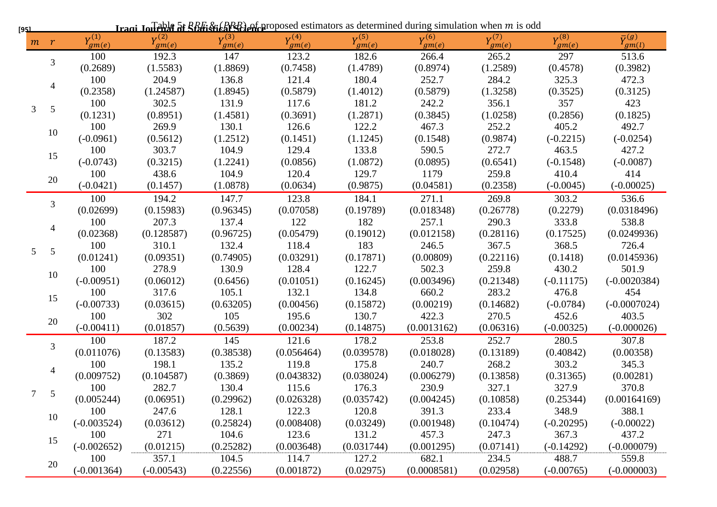| [9 <u>51</u>   |                         |                    |                   |                   |                   |                    | <b>Iraqi Journal of Statistical Street</b> extends estimators as determined during simulation when m is odd |                   |                    |                                     |
|----------------|-------------------------|--------------------|-------------------|-------------------|-------------------|--------------------|-------------------------------------------------------------------------------------------------------------|-------------------|--------------------|-------------------------------------|
|                | $m \rightharpoondown r$ | $V^{(1)}$<br>gm(e) | $Y_{gm(e)}^{(2)}$ | $Y_{gm(e)}^{(3)}$ | $Y_{gm(e)}^{(4)}$ | $V^{(5)}$<br>gm(e) | $Y_{gm(e)}^{(6)}$                                                                                           | $Y_{gm(e)}^{(7)}$ | $V^{(8)}$<br>gm(e) | $\overline{\mathbf{v}}(g)$<br>gm(l) |
|                | 3                       | 100                | 192.3             | 147               | 123.2             | 182.6              | 266.4                                                                                                       | 265.2             | 297                | 513.6                               |
|                |                         | (0.2689)           | (1.5583)          | (1.8869)          | (0.7458)          | (1.4789)           | (0.8974)                                                                                                    | (1.2589)          | (0.4578)           | (0.3982)                            |
|                | 4                       | 100                | 204.9             | 136.8             | 121.4             | 180.4              | 252.7                                                                                                       | 284.2             | 325.3              | 472.3                               |
|                |                         | (0.2358)           | (1.24587)         | (1.8945)          | (0.5879)          | (1.4012)           | (0.5879)                                                                                                    | (1.3258)          | (0.3525)           | (0.3125)                            |
| $\mathfrak{Z}$ | $\overline{5}$          | 100                | 302.5             | 131.9             | 117.6             | 181.2              | 242.2                                                                                                       | 356.1             | 357                | 423                                 |
|                |                         | (0.1231)           | (0.8951)          | (1.4581)          | (0.3691)          | (1.2871)           | (0.3845)                                                                                                    | (1.0258)          | (0.2856)           | (0.1825)                            |
|                | 10                      | 100                | 269.9             | 130.1             | 126.6             | 122.2              | 467.3                                                                                                       | 252.2             | 405.2              | 492.7                               |
|                |                         | $(-0.0961)$        | (0.5612)          | (1.2512)          | (0.1451)          | (1.1245)           | (0.1548)                                                                                                    | (0.9874)          | $(-0.2215)$        | $(-0.0254)$                         |
|                | 15                      | 100                | 303.7             | 104.9             | 129.4             | 133.8              | 590.5                                                                                                       | 272.7             | 463.5              | 427.2                               |
|                |                         | $(-0.0743)$        | (0.3215)          | (1.2241)          | (0.0856)          | (1.0872)           | (0.0895)                                                                                                    | (0.6541)          | $(-0.1548)$        | $(-0.0087)$                         |
|                | 20                      | 100                | 438.6             | 104.9             | 120.4             | 129.7              | 1179                                                                                                        | 259.8             | 410.4              | 414                                 |
|                |                         | $(-0.0421)$        | (0.1457)          | (1.0878)          | (0.0634)          | (0.9875)           | (0.04581)                                                                                                   | (0.2358)          | $(-0.0045)$        | $(-0.00025)$                        |
|                | 3                       | 100                | 194.2             | 147.7             | 123.8             | 184.1              | 271.1                                                                                                       | 269.8             | 303.2              | 536.6                               |
|                |                         | (0.02699)          | (0.15983)         | (0.96345)         | (0.07058)         | (0.19789)          | (0.018348)                                                                                                  | (0.26778)         | (0.2279)           | (0.0318496)                         |
|                |                         | 100                | 207.3             | 137.4             | 122               | 182                | 257.1                                                                                                       | 290.3             | 333.8              | 538.8                               |
|                |                         | (0.02368)          | (0.128587)        | (0.96725)         | (0.05479)         | (0.19012)          | (0.012158)                                                                                                  | (0.28116)         | (0.17525)          | (0.0249936)                         |
| 5 <sup>5</sup> | 5                       | 100                | 310.1             | 132.4             | 118.4             | 183                | 246.5                                                                                                       | 367.5             | 368.5              | 726.4                               |
|                |                         | (0.01241)          | (0.09351)         | (0.74905)         | (0.03291)         | (0.17871)          | (0.00809)                                                                                                   | (0.22116)         | (0.1418)           | (0.0145936)                         |
|                | 10                      | 100                | 278.9             | 130.9             | 128.4             | 122.7              | 502.3                                                                                                       | 259.8             | 430.2              | 501.9                               |
|                |                         | $(-0.00951)$       | (0.06012)         | (0.6456)          | (0.01051)         | (0.16245)          | (0.003496)                                                                                                  | (0.21348)         | $(-0.11175)$       | $(-0.0020384)$                      |
|                | 15                      | 100                | 317.6             | 105.1             | 132.1             | 134.8              | 660.2                                                                                                       | 283.2             | 476.8              | 454                                 |
|                |                         | $(-0.00733)$       | (0.03615)         | (0.63205)         | (0.00456)         | (0.15872)          | (0.00219)                                                                                                   | (0.14682)         | $(-0.0784)$        | $(-0.0007024)$                      |
|                | 20                      | 100                | 302               | 105               | 195.6             | 130.7              | 422.3                                                                                                       | 270.5             | 452.6              | 403.5                               |
|                |                         | $(-0.00411)$       | (0.01857)         | (0.5639)          | (0.00234)         | (0.14875)          | (0.0013162)                                                                                                 | (0.06316)         | $(-0.00325)$       | $(-0.000026)$                       |
|                | 3                       | 100                | 187.2             | 145               | 121.6             | 178.2              | 253.8                                                                                                       | 252.7             | 280.5              | 307.8                               |
|                |                         | (0.011076)         | (0.13583)         | (0.38538)         | (0.056464)        | (0.039578)         | (0.018028)                                                                                                  | (0.13189)         | (0.40842)          | (0.00358)                           |
|                |                         | 100                | 198.1             | 135.2             | 119.8             | 175.8              | 240.7                                                                                                       | 268.2             | 303.2              | 345.3                               |
|                |                         | (0.009752)         | (0.104587)        | (0.3869)          | (0.043832)        | (0.038024)         | (0.006279)                                                                                                  | (0.13858)         | (0.31365)          | (0.00281)                           |
| 7              | 5                       | 100                | 282.7             | 130.4             | 115.6             | 176.3              | 230.9                                                                                                       | 327.1             | 327.9              | 370.8                               |
|                |                         | (0.005244)         | (0.06951)         | (0.29962)         | (0.026328)        | (0.035742)         | (0.004245)                                                                                                  | (0.10858)         | (0.25344)          | (0.00164169)                        |
|                | 10                      | 100                | 247.6             | 128.1             | 122.3             | 120.8              | 391.3                                                                                                       | 233.4             | 348.9              | 388.1                               |
|                |                         | $(-0.003524)$      | (0.03612)         | (0.25824)         | (0.008408)        | (0.03249)          | (0.001948)                                                                                                  | (0.10474)         | $(-0.20295)$       | $(-0.00022)$                        |
|                | 15                      | 100                | 271               | 104.6             | 123.6             | 131.2              | 457.3                                                                                                       | 247.3             | 367.3              | 437.2                               |
|                |                         | $(-0.002652)$      | (0.01215)         | (0.25282)         | (0.003648)        | (0.031744)         | (0.001295)                                                                                                  | (0.07141)         | $(-0.14292)$       | $(-0.000079)$                       |
|                | 20                      | 100                | 357.1             | 104.5             | 114.7             | 127.2              | 682.1                                                                                                       | 234.5             | 488.7              | 559.8                               |
|                |                         | $(-0.001364)$      | $(-0.00543)$      | (0.22556)         | (0.001872)        | (0.02975)          | (0.0008581)                                                                                                 | (0.02958)         | $(-0.00765)$       | $(-0.000003)$                       |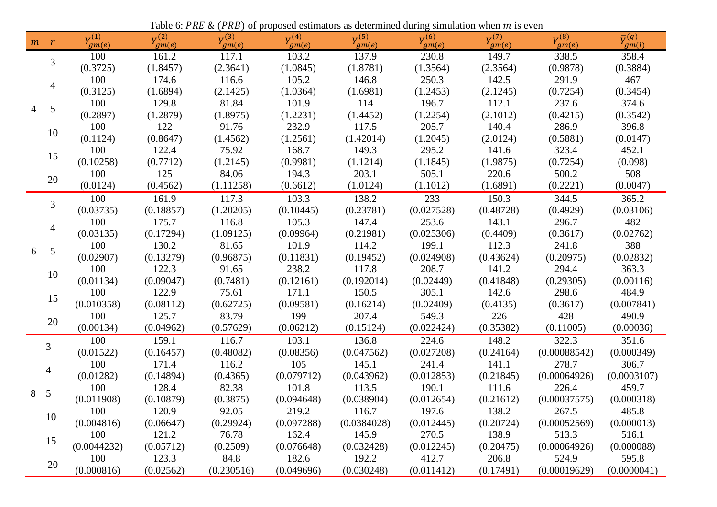|   | Table 6: PRE & (PRB) of proposed estimators as determined during simulation when $m$ is even |                    |                    |                    |                    |                   |                    |                    |                       |                                |  |  |
|---|----------------------------------------------------------------------------------------------|--------------------|--------------------|--------------------|--------------------|-------------------|--------------------|--------------------|-----------------------|--------------------------------|--|--|
|   | $m$ $r$                                                                                      | $V^{(1)}$<br>gm(e) | $V^{(2)}$<br>gm(e) | $V^{(3)}$<br>gm(e) | $V^{(4)}$<br>gm(e) | $Y_{gm(e)}^{(5)}$ | $Y^{(6)}$<br>gm(e) | $V^{(7)}$<br>gm(e) | $V^{(8)}$<br>$g_m(e)$ | $\bar{\mathbf{v}}(g)$<br>gm(l) |  |  |
|   | 3                                                                                            | 100                | 161.2              | 117.1              | 103.2              | 137.9             | 230.8              | 149.7              | 338.5                 | 358.4                          |  |  |
|   |                                                                                              | (0.3725)           | (1.8457)           | (2.3641)           | (1.0845)           | (1.8781)          | (1.3564)           | (2.3564)           | (0.9878)              | (0.3884)                       |  |  |
|   | $\overline{4}$                                                                               | 100                | 174.6              | 116.6              | 105.2              | 146.8             | 250.3              | 142.5              | 291.9                 | 467                            |  |  |
|   |                                                                                              | (0.3125)           | (1.6894)           | (2.1425)           | (1.0364)           | (1.6981)          | (1.2453)           | (2.1245)           | (0.7254)              | (0.3454)                       |  |  |
| 4 | 5                                                                                            | 100                | 129.8              | 81.84              | 101.9              | 114               | 196.7              | 112.1              | 237.6                 | 374.6                          |  |  |
|   |                                                                                              | (0.2897)           | (1.2879)           | (1.8975)           | (1.2231)           | (1.4452)          | (1.2254)           | (2.1012)           | (0.4215)              | (0.3542)                       |  |  |
|   | 10                                                                                           | 100                | 122                | 91.76              | 232.9              | 117.5             | 205.7              | 140.4              | 286.9                 | 396.8                          |  |  |
|   |                                                                                              | (0.1124)           | (0.8647)           | (1.4562)           | (1.2561)           | (1.42014)         | (1.2045)           | (2.0124)           | (0.5881)              | (0.0147)                       |  |  |
|   | 15                                                                                           | 100                | 122.4              | 75.92              | 168.7              | 149.3             | 295.2              | 141.6              | 323.4                 | 452.1                          |  |  |
|   |                                                                                              | (0.10258)          | (0.7712)           | (1.2145)           | (0.9981)           | (1.1214)          | (1.1845)           | (1.9875)           | (0.7254)              | (0.098)                        |  |  |
|   | 20                                                                                           | 100                | 125                | 84.06              | 194.3              | 203.1             | 505.1              | 220.6              | 500.2                 | 508                            |  |  |
|   |                                                                                              | (0.0124)           | (0.4562)           | (1.11258)          | (0.6612)           | (1.0124)          | (1.1012)           | (1.6891)           | (0.2221)              | (0.0047)                       |  |  |
|   | 3                                                                                            | 100                | 161.9              | 117.3              | 103.3              | 138.2             | 233                | 150.3              | 344.5                 | 365.2                          |  |  |
|   |                                                                                              | (0.03735)          | (0.18857)          | (1.20205)          | (0.10445)          | (0.23781)         | (0.027528)         | (0.48728)          | (0.4929)              | (0.03106)                      |  |  |
|   | $\overline{4}$                                                                               | 100                | 175.7              | 116.8              | 105.3              | 147.4             | 253.6              | 143.1              | 296.7                 | 482                            |  |  |
|   |                                                                                              | (0.03135)          | (0.17294)          | (1.09125)          | (0.09964)          | (0.21981)         | (0.025306)         | (0.4409)           | (0.3617)              | (0.02762)                      |  |  |
| 6 | $\mathfrak{S}$                                                                               | 100                | 130.2              | 81.65              | 101.9              | 114.2             | 199.1              | 112.3              | 241.8                 | 388                            |  |  |
|   |                                                                                              | (0.02907)          | (0.13279)          | (0.96875)          | (0.11831)          | (0.19452)         | (0.024908)         | (0.43624)          | (0.20975)             | (0.02832)                      |  |  |
|   | 10                                                                                           | 100                | 122.3              | 91.65              | 238.2              | 117.8             | 208.7              | 141.2              | 294.4                 | 363.3                          |  |  |
|   |                                                                                              | (0.01134)          | (0.09047)          | (0.7481)           | (0.12161)          | (0.192014)        | (0.02449)          | (0.41848)          | (0.29305)             | (0.00116)                      |  |  |
|   | 15                                                                                           | 100                | 122.9              | 75.61              | 171.1              | 150.5             | 305.1              | 142.6              | 298.6                 | 484.9                          |  |  |
|   |                                                                                              | (0.010358)         | (0.08112)          | (0.62725)          | (0.09581)          | (0.16214)         | (0.02409)          | (0.4135)           | (0.3617)              | (0.007841)                     |  |  |
|   | 20                                                                                           | 100                | 125.7              | 83.79              | 199                | 207.4             | 549.3              | 226                | 428                   | 490.9                          |  |  |
|   |                                                                                              | (0.00134)          | (0.04962)          | (0.57629)          | (0.06212)          | (0.15124)         | (0.022424)         | (0.35382)          | (0.11005)             | (0.00036)                      |  |  |
|   | 3                                                                                            | 100                | 159.1              | 116.7              | 103.1              | 136.8             | 224.6              | 148.2              | 322.3                 | 351.6                          |  |  |
|   |                                                                                              | (0.01522)          | (0.16457)          | (0.48082)          | (0.08356)          | (0.047562)        | (0.027208)         | (0.24164)          | (0.00088542)          | (0.000349)                     |  |  |
|   | 4                                                                                            | 100                | 171.4              | 116.2              | 105                | 145.1             | 241.4              | 141.1              | 278.7                 | 306.7                          |  |  |
|   |                                                                                              | (0.01282)          | (0.14894)          | (0.4365)           | (0.079712)         | (0.043962)        | (0.012853)         | (0.21845)          | (0.00064926)          | (0.0003107)                    |  |  |
| 8 | 5                                                                                            | 100                | 128.4              | 82.38              | 101.8              | 113.5             | 190.1              | 111.6              | 226.4                 | 459.7                          |  |  |
|   |                                                                                              | (0.011908)         | (0.10879)          | (0.3875)           | (0.094648)         | (0.038904)        | (0.012654)         | (0.21612)          | (0.00037575)          | (0.000318)                     |  |  |
|   | 10                                                                                           | 100                | 120.9              | 92.05              | 219.2              | 116.7             | 197.6              | 138.2              | 267.5                 | 485.8                          |  |  |
|   |                                                                                              | (0.004816)         | (0.06647)          | (0.29924)          | (0.097288)         | (0.0384028)       | (0.012445)         | (0.20724)          | (0.00052569)          | (0.000013)                     |  |  |
|   | 15                                                                                           | 100                | 121.2              | 76.78              | 162.4              | 145.9             | 270.5              | 138.9              | 513.3                 | 516.1                          |  |  |
|   |                                                                                              | (0.0044232)        | (0.05712)          | (0.2509)           | (0.076648)         | (0.032428)        | (0.012245)         | (0.20475)          | (0.00064926)          | (0.000088)                     |  |  |
|   | 20                                                                                           | 100                | 123.3              | 84.8               | 182.6              | 192.2             | 412.7              | 206.8              | 524.9                 | 595.8                          |  |  |
|   |                                                                                              | (0.000816)         | (0.02562)          | (0.230516)         | (0.049696)         | (0.030248)        | (0.011412)         | (0.17491)          | (0.00019629)          | (0.0000041)                    |  |  |